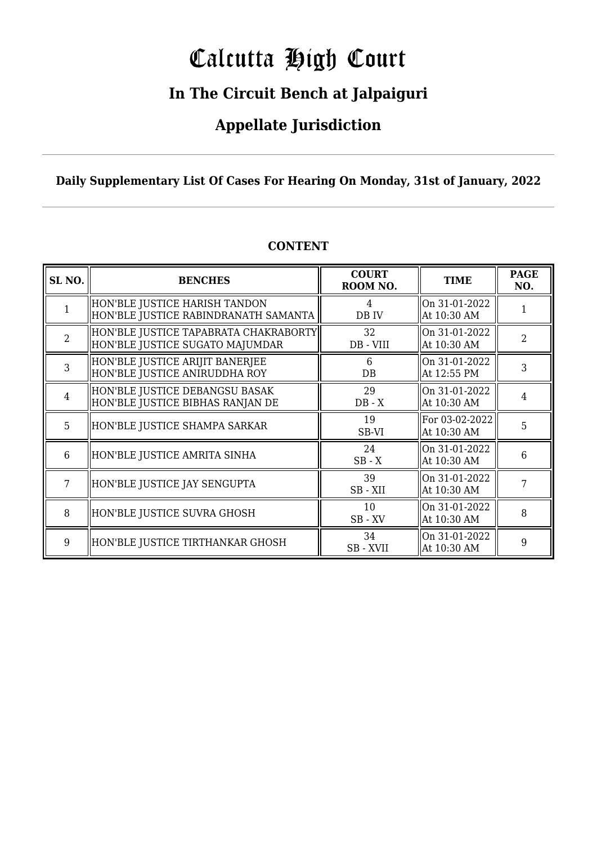# Calcutta High Court

### **In The Circuit Bench at Jalpaiguri**

### **Appellate Jurisdiction**

**Daily Supplementary List Of Cases For Hearing On Monday, 31st of January, 2022**

| SL <sub>NO.</sub> | <b>BENCHES</b>                                                           | <b>COURT</b><br>ROOM NO. | <b>TIME</b>                   | <b>PAGE</b><br>NO. |
|-------------------|--------------------------------------------------------------------------|--------------------------|-------------------------------|--------------------|
|                   | HON'BLE JUSTICE HARISH TANDON<br>HON'BLE JUSTICE RABINDRANATH SAMANTA    | 4<br>DB IV               | On 31-01-2022<br>At 10:30 AM  |                    |
| $\overline{2}$    | HON'BLE JUSTICE TAPABRATA CHAKRABORTY<br>HON'BLE JUSTICE SUGATO MAJUMDAR | 32<br>DB - VIII          | On 31-01-2022<br>At 10:30 AM  | $\overline{2}$     |
| 3                 | HON'BLE JUSTICE ARIJIT BANERJEE<br>HON'BLE JUSTICE ANIRUDDHA ROY         | 6<br>DB.                 | On 31-01-2022<br>At 12:55 PM  | 3                  |
| $\overline{4}$    | HON'BLE JUSTICE DEBANGSU BASAK<br>HON'BLE JUSTICE BIBHAS RANJAN DE       | 29<br>$DB - X$           | On 31-01-2022<br>At 10:30 AM  | 4                  |
| 5                 | HON'BLE JUSTICE SHAMPA SARKAR                                            | 19<br>SB-VI              | For 03-02-2022<br>At 10:30 AM | 5                  |
| 6                 | HON'BLE JUSTICE AMRITA SINHA                                             | 24<br>$SB - X$           | On 31-01-2022<br>At 10:30 AM  | 6                  |
| 7                 | HON'BLE JUSTICE JAY SENGUPTA                                             | 39<br>SB-XII             | On 31-01-2022<br>At 10:30 AM  | 7                  |
| 8                 | HON'BLE JUSTICE SUVRA GHOSH                                              | 10<br>$SB$ - $XV$        | On 31-01-2022<br>At 10:30 AM  | 8                  |
| 9                 | HON'BLE JUSTICE TIRTHANKAR GHOSH                                         | 34<br>SB - XVII          | On 31-01-2022<br>At 10:30 AM  | 9                  |

#### **CONTENT**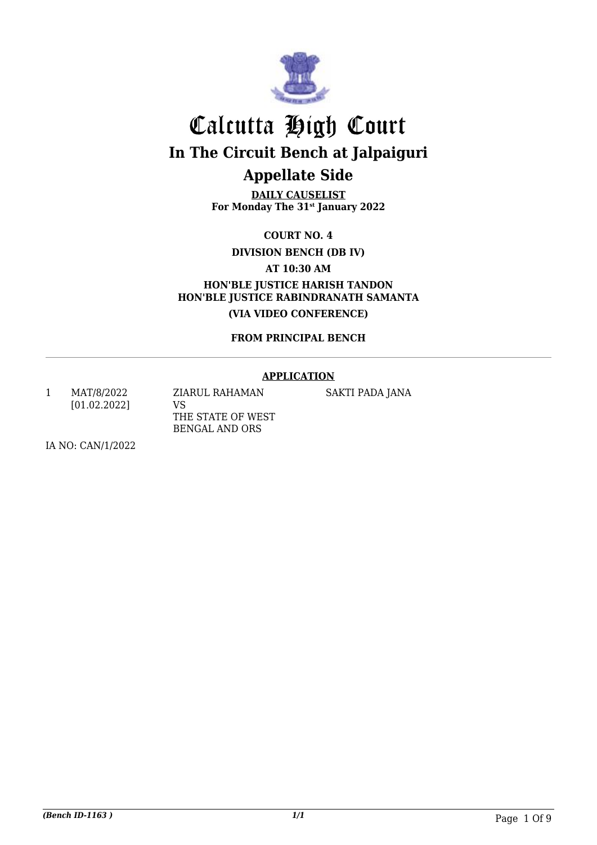

**DAILY CAUSELIST For Monday The 31st January 2022**

**COURT NO. 4**

**DIVISION BENCH (DB IV)**

**AT 10:30 AM**

**HON'BLE JUSTICE HARISH TANDON HON'BLE JUSTICE RABINDRANATH SAMANTA (VIA VIDEO CONFERENCE)**

**FROM PRINCIPAL BENCH**

#### **APPLICATION**

1 MAT/8/2022 [01.02.2022] ZIARUL RAHAMAN VS THE STATE OF WEST BENGAL AND ORS

SAKTI PADA JANA

IA NO: CAN/1/2022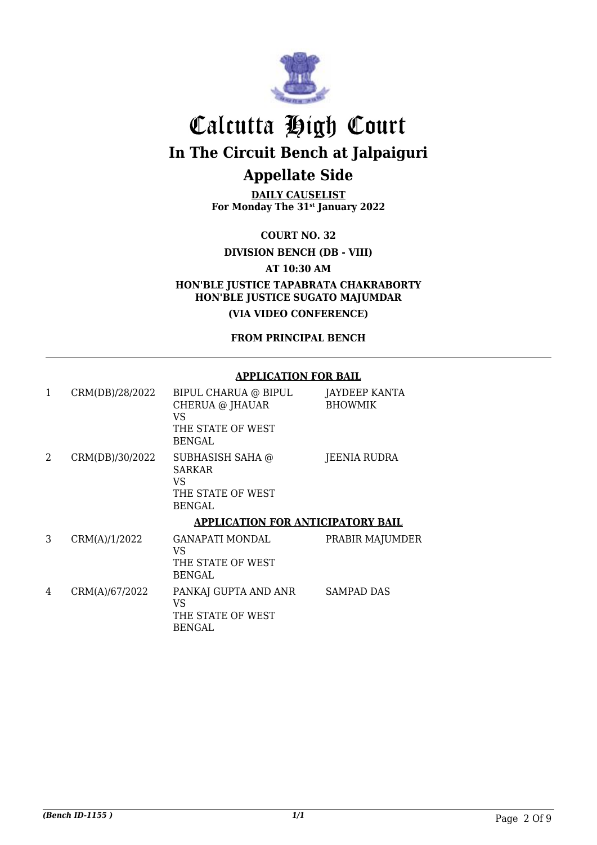

**DAILY CAUSELIST For Monday The 31st January 2022**

**COURT NO. 32**

**DIVISION BENCH (DB - VIII)**

**AT 10:30 AM**

**HON'BLE JUSTICE TAPABRATA CHAKRABORTY HON'BLE JUSTICE SUGATO MAJUMDAR**

**(VIA VIDEO CONFERENCE)**

**FROM PRINCIPAL BENCH**

#### **APPLICATION FOR BAIL**

| 1 | CRM(DB)/28/2022 | BIPUL CHARUA @ BIPUL<br>CHERUA @ JHAUAR<br>VS<br>THE STATE OF WEST                             | JAYDEEP KANTA<br><b>BHOWMIK</b> |
|---|-----------------|------------------------------------------------------------------------------------------------|---------------------------------|
| 2 | CRM(DB)/30/2022 | <b>BENGAL</b><br>SUBHASISH SAHA @<br><b>SARKAR</b><br>VS<br>THE STATE OF WEST<br><b>BENGAL</b> | JEENIA RUDRA                    |
|   |                 | <b>APPLICATION FOR ANTICIPATORY BAIL</b>                                                       |                                 |
| 3 | CRM(A)/1/2022   | <b>GANAPATI MONDAL</b><br>VS<br>THE STATE OF WEST<br><b>BENGAL</b>                             | PRABIR MAJUMDER                 |
| 4 | CRM(A)/67/2022  | PANKAJ GUPTA AND ANR<br>VS<br>THE STATE OF WEST<br><b>BENGAL</b>                               | <b>SAMPAD DAS</b>               |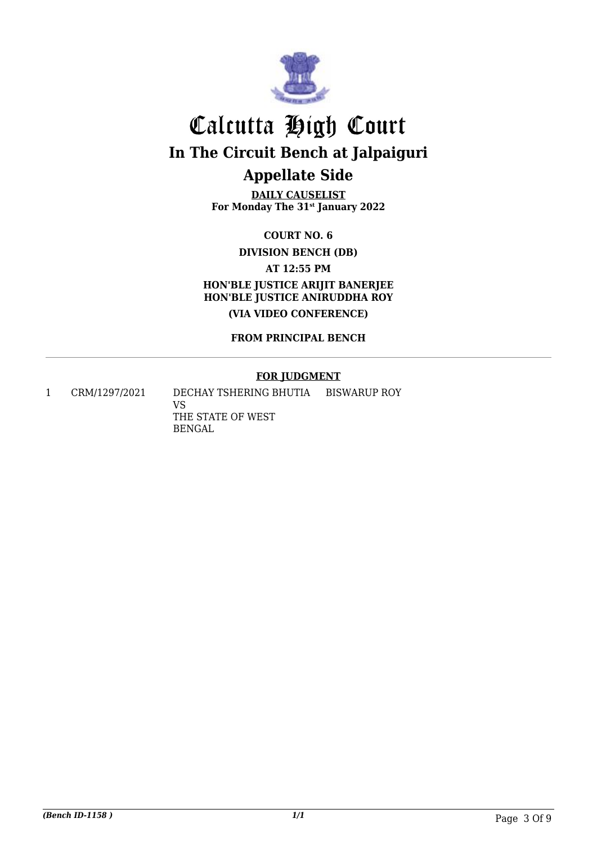

**DAILY CAUSELIST For Monday The 31st January 2022**

**COURT NO. 6**

**DIVISION BENCH (DB)**

**AT 12:55 PM**

**HON'BLE JUSTICE ARIJIT BANERJEE HON'BLE JUSTICE ANIRUDDHA ROY (VIA VIDEO CONFERENCE)**

**FROM PRINCIPAL BENCH**

#### **FOR JUDGMENT**

1 CRM/1297/2021 DECHAY TSHERING BHUTIA

VS THE STATE OF WEST BENGAL BISWARUP ROY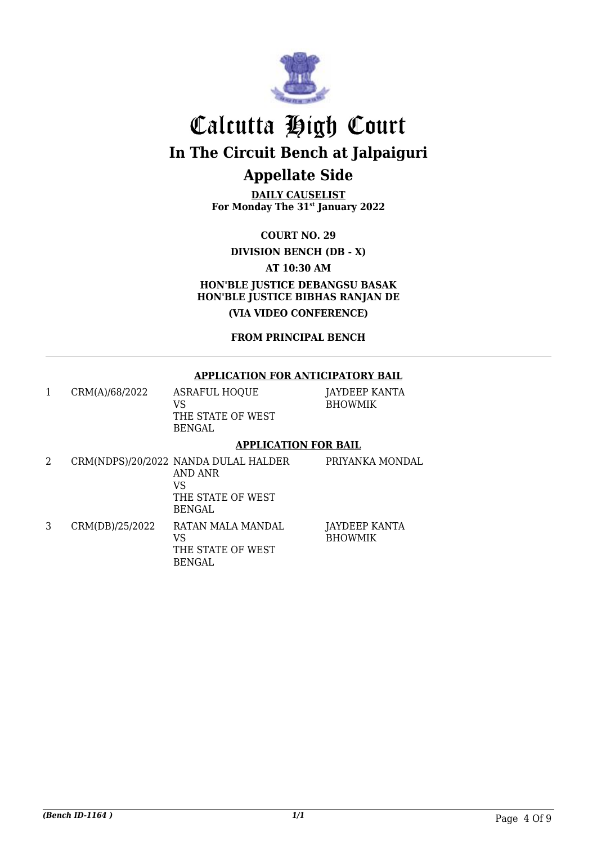

**DAILY CAUSELIST For Monday The 31st January 2022**

**COURT NO. 29**

**DIVISION BENCH (DB - X)**

**AT 10:30 AM**

**HON'BLE JUSTICE DEBANGSU BASAK HON'BLE JUSTICE BIBHAS RANJAN DE (VIA VIDEO CONFERENCE)**

**FROM PRINCIPAL BENCH**

#### **APPLICATION FOR ANTICIPATORY BAIL**

1 CRM(A)/68/2022 ASRAFUL HOQUE VS THE STATE OF WEST BENGAL

JAYDEEP KANTA BHOWMIK

#### **APPLICATION FOR BAIL**

2 CRM(NDPS)/20/2022 NANDA DULAL HALDER AND ANR VS THE STATE OF WEST BENGAL PRIYANKA MONDAL 3 CRM(DB)/25/2022 RATAN MALA MANDAL VS THE STATE OF WEST BENGAL JAYDEEP KANTA BHOWMIK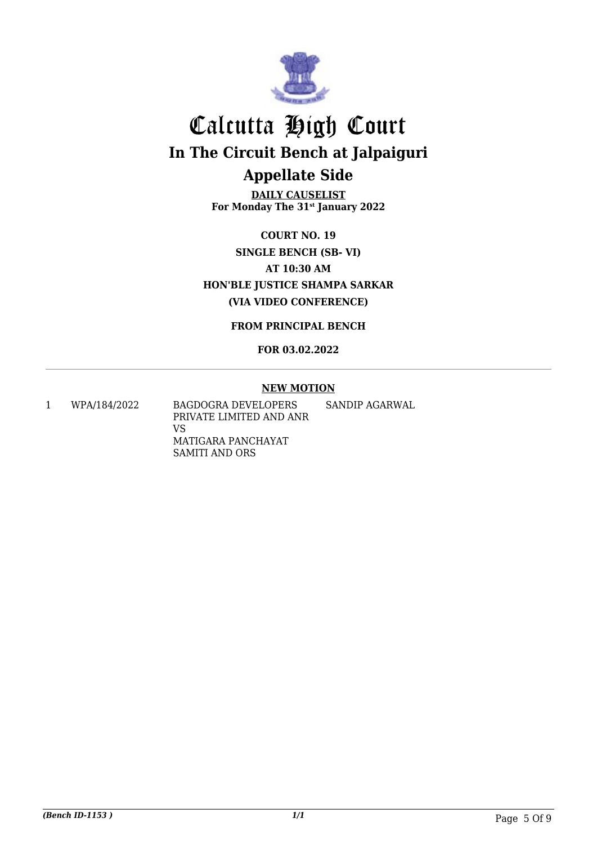

**DAILY CAUSELIST For Monday The 31st January 2022**

**COURT NO. 19 SINGLE BENCH (SB- VI) AT 10:30 AM HON'BLE JUSTICE SHAMPA SARKAR (VIA VIDEO CONFERENCE)**

**FROM PRINCIPAL BENCH**

**FOR 03.02.2022**

#### **NEW MOTION**

1 WPA/184/2022 BAGDOGRA DEVELOPERS PRIVATE LIMITED AND ANR VS MATIGARA PANCHAYAT SAMITI AND ORS SANDIP AGARWAL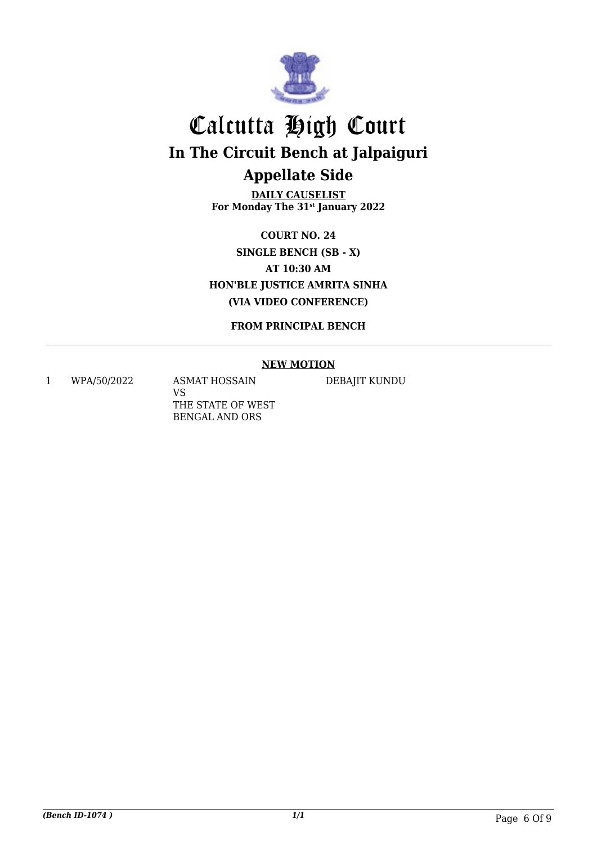

**DAILY CAUSELIST For Monday The 31st January 2022**

**COURT NO. 24 SINGLE BENCH (SB - X) AT 10:30 AM HON'BLE JUSTICE AMRITA SINHA (VIA VIDEO CONFERENCE)**

**FROM PRINCIPAL BENCH**

#### **NEW MOTION**

1 WPA/50/2022 ASMAT HOSSAIN

VS THE STATE OF WEST BENGAL AND ORS

DEBAJIT KUNDU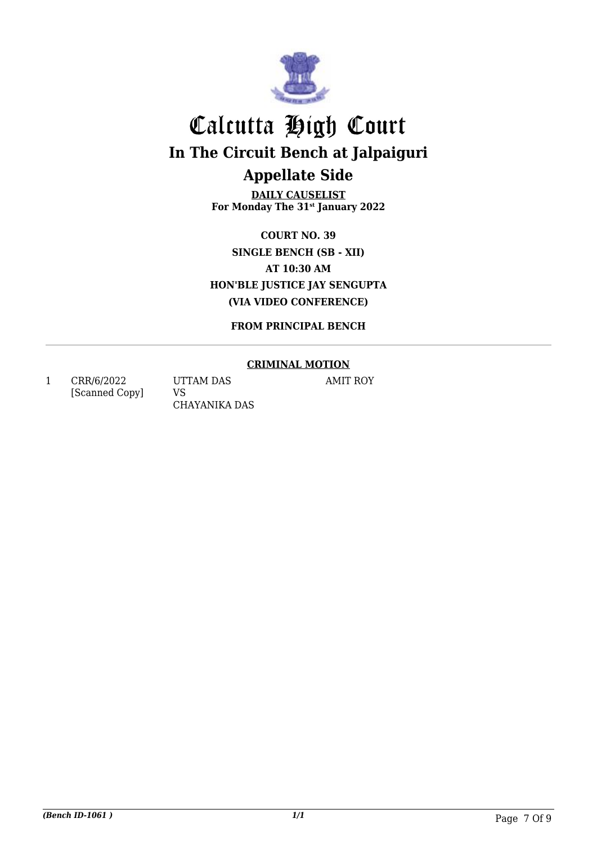

**DAILY CAUSELIST For Monday The 31st January 2022**

**COURT NO. 39 SINGLE BENCH (SB - XII) AT 10:30 AM HON'BLE JUSTICE JAY SENGUPTA (VIA VIDEO CONFERENCE)**

**FROM PRINCIPAL BENCH**

#### **CRIMINAL MOTION**

1 CRR/6/2022 [Scanned Copy] UTTAM DAS VS CHAYANIKA DAS AMIT ROY

*(Bench ID-1061 ) 1/1* Page 7 Of 9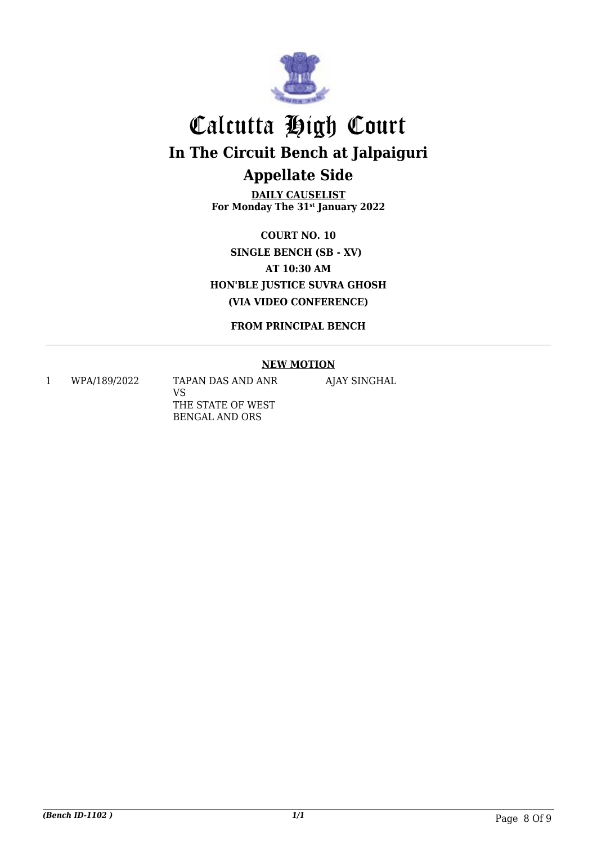

**DAILY CAUSELIST For Monday The 31st January 2022**

**COURT NO. 10 SINGLE BENCH (SB - XV) AT 10:30 AM HON'BLE JUSTICE SUVRA GHOSH (VIA VIDEO CONFERENCE)**

**FROM PRINCIPAL BENCH**

#### **NEW MOTION**

1 WPA/189/2022 TAPAN DAS AND ANR VS THE STATE OF WEST BENGAL AND ORS

AJAY SINGHAL